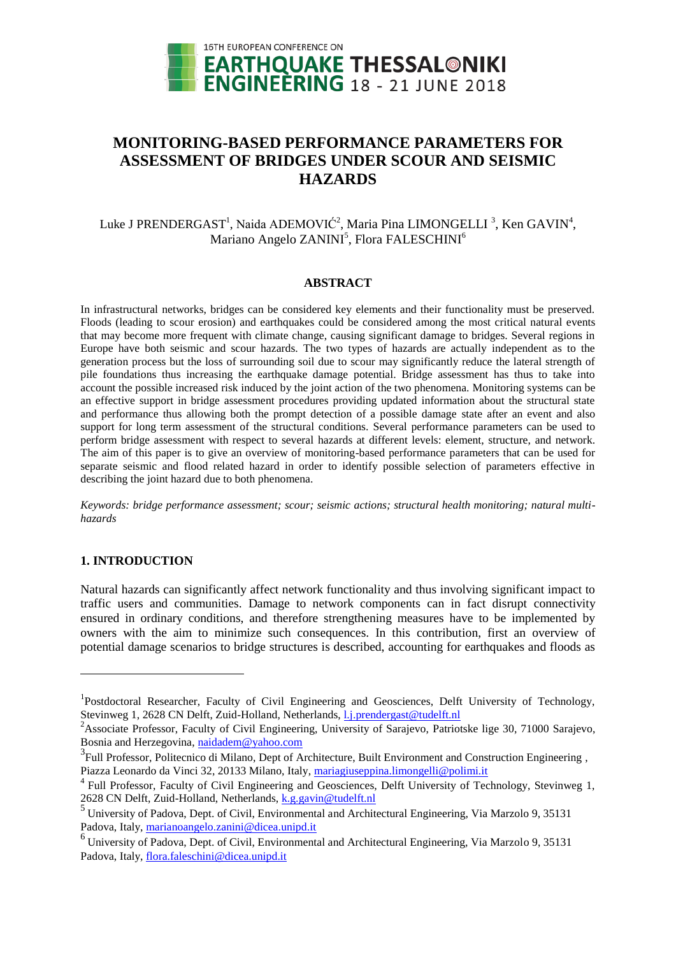

# **MONITORING-BASED PERFORMANCE PARAMETERS FOR ASSESSMENT OF BRIDGES UNDER SCOUR AND SEISMIC HAZARDS**

Luke J PRENDERGAST<sup>1</sup>, Naida ADEMOVIĆ<sup>2</sup>, Maria Pina LIMONGELLI<sup>3</sup>, Ken GAVIN<sup>4</sup>, Mariano Angelo ZANINI<sup>5</sup>, Flora FALESCHINI<sup>6</sup>

### **ABSTRACT**

In infrastructural networks, bridges can be considered key elements and their functionality must be preserved. Floods (leading to scour erosion) and earthquakes could be considered among the most critical natural events that may become more frequent with climate change, causing significant damage to bridges. Several regions in Europe have both seismic and scour hazards. The two types of hazards are actually independent as to the generation process but the loss of surrounding soil due to scour may significantly reduce the lateral strength of pile foundations thus increasing the earthquake damage potential. Bridge assessment has thus to take into account the possible increased risk induced by the joint action of the two phenomena. Monitoring systems can be an effective support in bridge assessment procedures providing updated information about the structural state and performance thus allowing both the prompt detection of a possible damage state after an event and also support for long term assessment of the structural conditions. Several performance parameters can be used to perform bridge assessment with respect to several hazards at different levels: element, structure, and network. The aim of this paper is to give an overview of monitoring-based performance parameters that can be used for separate seismic and flood related hazard in order to identify possible selection of parameters effective in describing the joint hazard due to both phenomena.

*Keywords: bridge performance assessment; scour; seismic actions; structural health monitoring; natural multihazards*

## **1. INTRODUCTION**

l

Natural hazards can significantly affect network functionality and thus involving significant impact to traffic users and communities. Damage to network components can in fact disrupt connectivity ensured in ordinary conditions, and therefore strengthening measures have to be implemented by owners with the aim to minimize such consequences. In this contribution, first an overview of potential damage scenarios to bridge structures is described, accounting for earthquakes and floods as

<sup>&</sup>lt;sup>1</sup>Postdoctoral Researcher, Faculty of Civil Engineering and Geosciences, Delft University of Technology, Stevinweg 1, 2628 CN Delft, Zuid-Holland, Netherlands, [l.j.prendergast@tudelft.nl](mailto:l.j.prendergast@tudelft.nl)

<sup>&</sup>lt;sup>2</sup>Associate Professor, Faculty of Civil Engineering, University of Sarajevo, Patriotske lige 30, 71000 Sarajevo, Bosnia and Herzegovina, [naidadem@yahoo.com](mailto:naidadem@yahoo.com)

<sup>&</sup>lt;sup>3</sup>Full Professor, Politecnico di Milano, Dept of Architecture, Built Environment and Construction Engineering, Piazza Leonardo da Vinci 32, 20133 Milano, Italy[, mariagiuseppina.limongelli@polimi.it](mailto:mariagiuseppina.limongelli@polimi.it)

<sup>&</sup>lt;sup>4</sup> Full Professor, Faculty of Civil Engineering and Geosciences, Delft University of Technology, Stevinweg 1, 2628 CN Delft, Zuid-Holland, Netherlands, [k.g.gavin@tudelft.nl](mailto:k.g.gavin@tudelft.nl)

<sup>5</sup> University of Padova, Dept. of Civil, Environmental and Architectural Engineering, Via Marzolo 9, 35131 Padova, Italy[, marianoangelo.zanini@dicea.unipd.it](mailto:marianoangelo.zanini@dicea.unipd.it)

<sup>6</sup> University of Padova, Dept. of Civil, Environmental and Architectural Engineering, Via Marzolo 9, 35131 Padova, Italy[, flora.faleschini@dicea.unipd.it](mailto:flora.faleschini@dicea.unipd.it)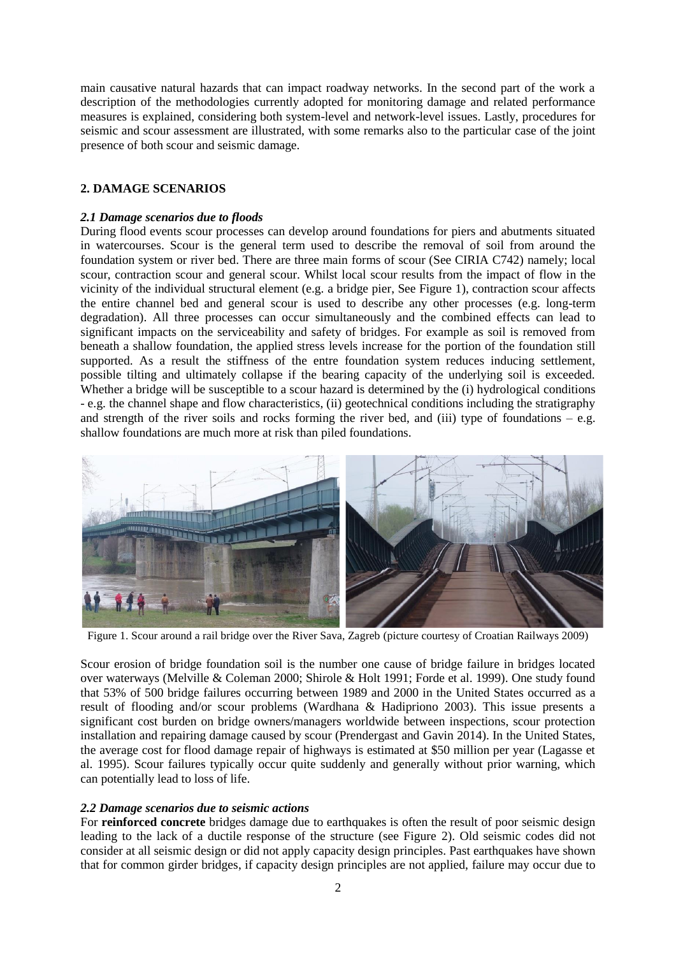main causative natural hazards that can impact roadway networks. In the second part of the work a description of the methodologies currently adopted for monitoring damage and related performance measures is explained, considering both system-level and network-level issues. Lastly, procedures for seismic and scour assessment are illustrated, with some remarks also to the particular case of the joint presence of both scour and seismic damage.

# **2. DAMAGE SCENARIOS**

# *2.1 Damage scenarios due to floods*

During flood events scour processes can develop around foundations for piers and abutments situated in watercourses. Scour is the general term used to describe the removal of soil from around the foundation system or river bed. There are three main forms of scour (See CIRIA C742) namely; local scour, contraction scour and general scour. Whilst local scour results from the impact of flow in the vicinity of the individual structural element (e.g. a bridge pier, See Figure 1), contraction scour affects the entire channel bed and general scour is used to describe any other processes (e.g. long-term degradation). All three processes can occur simultaneously and the combined effects can lead to significant impacts on the serviceability and safety of bridges. For example as soil is removed from beneath a shallow foundation, the applied stress levels increase for the portion of the foundation still supported. As a result the stiffness of the entre foundation system reduces inducing settlement, possible tilting and ultimately collapse if the bearing capacity of the underlying soil is exceeded. Whether a bridge will be susceptible to a scour hazard is determined by the (i) hydrological conditions - e.g. the channel shape and flow characteristics, (ii) geotechnical conditions including the stratigraphy and strength of the river soils and rocks forming the river bed, and (iii) type of foundations  $-$  e.g. shallow foundations are much more at risk than piled foundations.



Figure 1. Scour around a rail bridge over the River Sava, Zagreb (picture courtesy of Croatian Railways 2009)

Scour erosion of bridge foundation soil is the number one cause of bridge failure in bridges located over waterways (Melville & Coleman 2000; Shirole & Holt 1991; Forde et al. 1999). One study found that 53% of 500 bridge failures occurring between 1989 and 2000 in the United States occurred as a result of flooding and/or scour problems (Wardhana & Hadipriono 2003). This issue presents a significant cost burden on bridge owners/managers worldwide between inspections, scour protection installation and repairing damage caused by scour (Prendergast and Gavin 2014). In the United States, the average cost for flood damage repair of highways is estimated at \$50 million per year (Lagasse et al. 1995). Scour failures typically occur quite suddenly and generally without prior warning, which can potentially lead to loss of life.

## *2.2 Damage scenarios due to seismic actions*

For **reinforced concrete** bridges damage due to earthquakes is often the result of poor seismic design leading to the lack of a ductile response of the structure (see Figure 2). Old seismic codes did not consider at all seismic design or did not apply capacity design principles. Past earthquakes have shown that for common girder bridges, if capacity design principles are not applied, failure may occur due to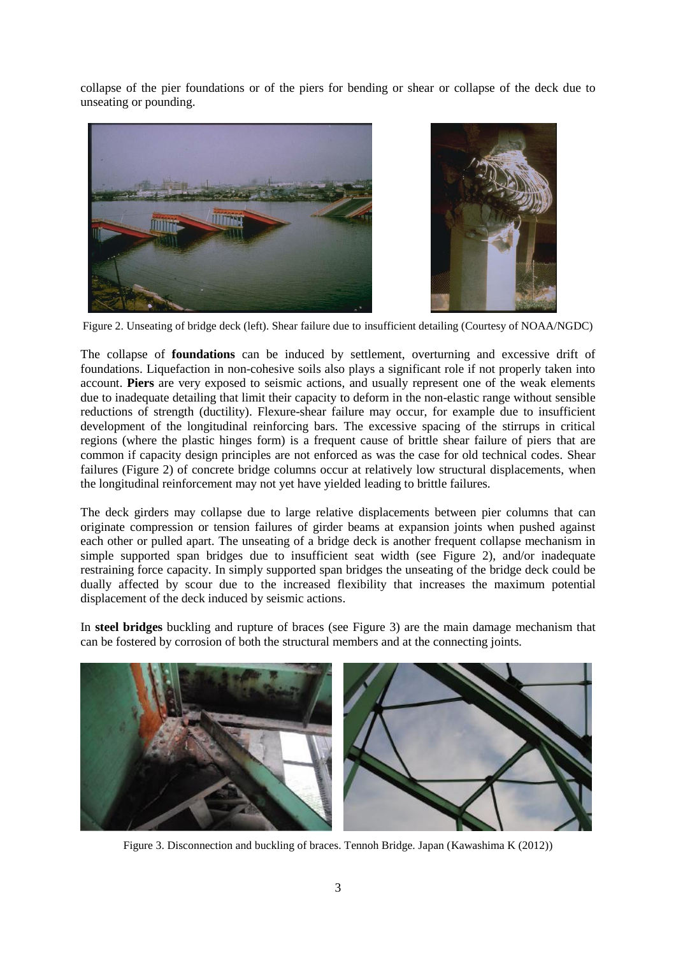collapse of the pier foundations or of the piers for bending or shear or collapse of the deck due to unseating or pounding.



Figure 2. Unseating of bridge deck (left). Shear failure due to insufficient detailing (Courtesy of NOAA/NGDC)

The collapse of **foundations** can be induced by settlement, overturning and excessive drift of foundations. Liquefaction in non-cohesive soils also plays a significant role if not properly taken into account. **Piers** are very exposed to seismic actions, and usually represent one of the weak elements due to inadequate detailing that limit their capacity to deform in the non-elastic range without sensible reductions of strength (ductility). Flexure-shear failure may occur, for example due to insufficient development of the longitudinal reinforcing bars. The excessive spacing of the stirrups in critical regions (where the plastic hinges form) is a frequent cause of brittle shear failure of piers that are common if capacity design principles are not enforced as was the case for old technical codes. Shear failures (Figure 2) of concrete bridge columns occur at relatively low structural displacements, when the longitudinal reinforcement may not yet have yielded leading to brittle failures.

The deck girders may collapse due to large relative displacements between pier columns that can originate compression or tension failures of girder beams at expansion joints when pushed against each other or pulled apart. The unseating of a bridge deck is another frequent collapse mechanism in simple supported span bridges due to insufficient seat width (see Figure 2), and/or inadequate restraining force capacity. In simply supported span bridges the unseating of the bridge deck could be dually affected by scour due to the increased flexibility that increases the maximum potential displacement of the deck induced by seismic actions.

In **steel bridges** buckling and rupture of braces (see Figure 3) are the main damage mechanism that can be fostered by corrosion of both the structural members and at the connecting joints.



Figure 3. Disconnection and buckling of braces. Tennoh Bridge. Japan (Kawashima K (2012))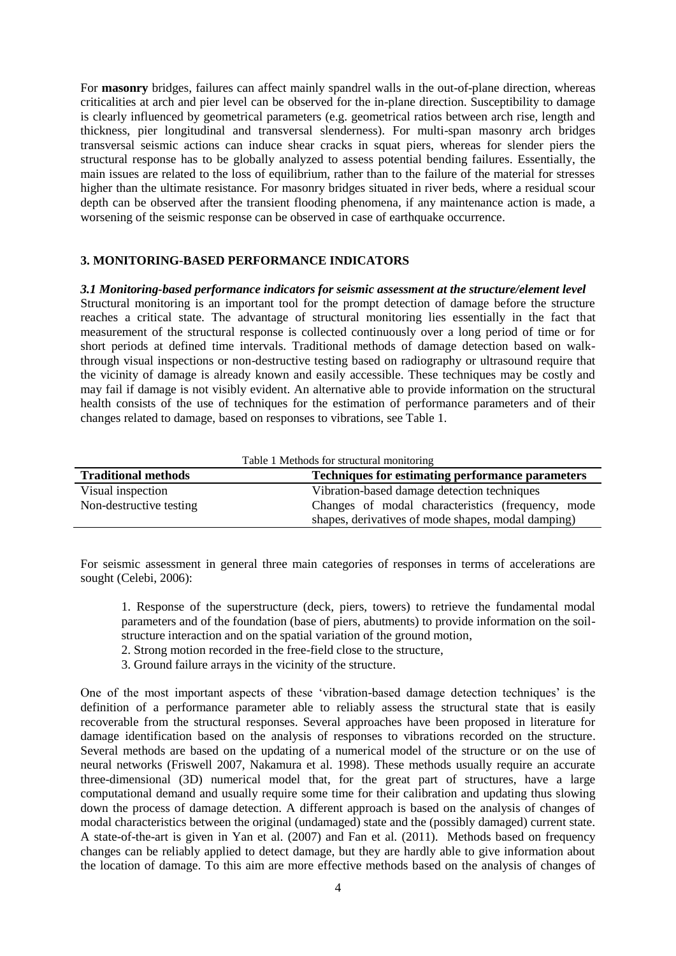For **masonry** bridges, failures can affect mainly spandrel walls in the out-of-plane direction, whereas criticalities at arch and pier level can be observed for the in-plane direction. Susceptibility to damage is clearly influenced by geometrical parameters (e.g. geometrical ratios between arch rise, length and thickness, pier longitudinal and transversal slenderness). For multi-span masonry arch bridges transversal seismic actions can induce shear cracks in squat piers, whereas for slender piers the structural response has to be globally analyzed to assess potential bending failures. Essentially, the main issues are related to the loss of equilibrium, rather than to the failure of the material for stresses higher than the ultimate resistance. For masonry bridges situated in river beds, where a residual scour depth can be observed after the transient flooding phenomena, if any maintenance action is made, a worsening of the seismic response can be observed in case of earthquake occurrence.

### **3. MONITORING-BASED PERFORMANCE INDICATORS**

#### *3.1 Monitoring-based performance indicators for seismic assessment at the structure/element level*

Structural monitoring is an important tool for the prompt detection of damage before the structure reaches a critical state. The advantage of structural monitoring lies essentially in the fact that measurement of the structural response is collected continuously over a long period of time or for short periods at defined time intervals. Traditional methods of damage detection based on walkthrough visual inspections or non-destructive testing based on radiography or ultrasound require that the vicinity of damage is already known and easily accessible. These techniques may be costly and may fail if damage is not visibly evident. An alternative able to provide information on the structural health consists of the use of techniques for the estimation of performance parameters and of their changes related to damage, based on responses to vibrations, see Table 1.

| Table 1 Methods for structural monitoring |                                                                                                         |
|-------------------------------------------|---------------------------------------------------------------------------------------------------------|
| <b>Traditional methods</b>                | Techniques for estimating performance parameters                                                        |
| Visual inspection                         | Vibration-based damage detection techniques                                                             |
| Non-destructive testing                   | Changes of modal characteristics (frequency, mode<br>shapes, derivatives of mode shapes, modal damping) |

For seismic assessment in general three main categories of responses in terms of accelerations are sought (Celebi, 2006):

1. Response of the superstructure (deck, piers, towers) to retrieve the fundamental modal parameters and of the foundation (base of piers, abutments) to provide information on the soilstructure interaction and on the spatial variation of the ground motion,

- 2. Strong motion recorded in the free-field close to the structure,
- 3. Ground failure arrays in the vicinity of the structure.

One of the most important aspects of these 'vibration-based damage detection techniques' is the definition of a performance parameter able to reliably assess the structural state that is easily recoverable from the structural responses. Several approaches have been proposed in literature for damage identification based on the analysis of responses to vibrations recorded on the structure. Several methods are based on the updating of a numerical model of the structure or on the use of neural networks (Friswell 2007, Nakamura et al. 1998). These methods usually require an accurate three-dimensional (3D) numerical model that, for the great part of structures, have a large computational demand and usually require some time for their calibration and updating thus slowing down the process of damage detection. A different approach is based on the analysis of changes of modal characteristics between the original (undamaged) state and the (possibly damaged) current state. A state-of-the-art is given in Yan et al. (2007) and Fan et al. (2011). Methods based on frequency changes can be reliably applied to detect damage, but they are hardly able to give information about the location of damage. To this aim are more effective methods based on the analysis of changes of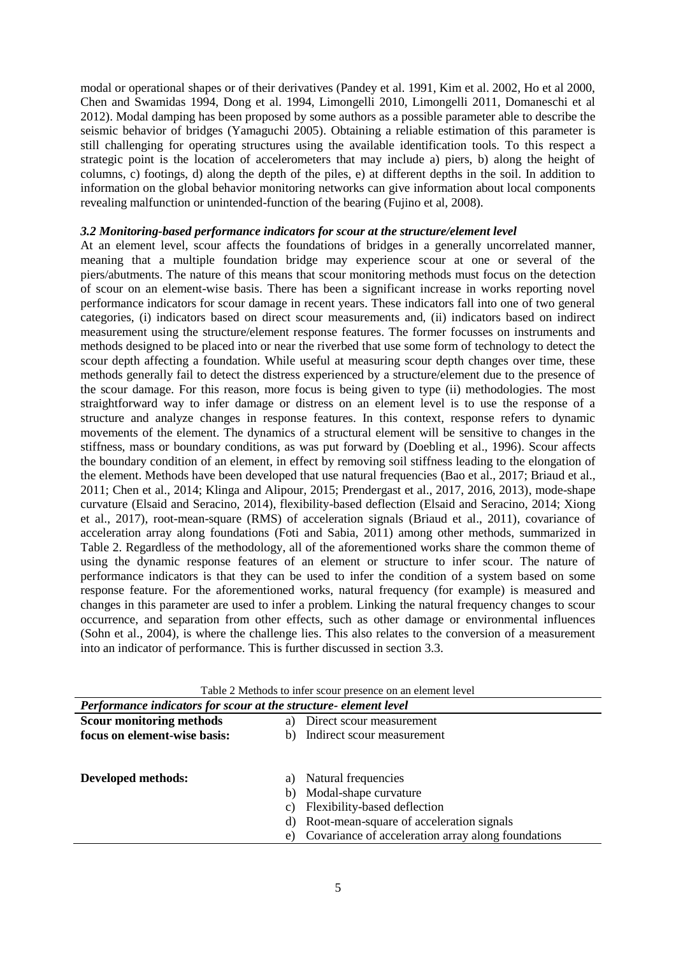modal or operational shapes or of their derivatives (Pandey et al. 1991, Kim et al. 2002, Ho et al 2000, Chen and Swamidas 1994, Dong et al. 1994, Limongelli 2010, Limongelli 2011, Domaneschi et al 2012). Modal damping has been proposed by some authors as a possible parameter able to describe the seismic behavior of bridges (Yamaguchi 2005). Obtaining a reliable estimation of this parameter is still challenging for operating structures using the available identification tools. To this respect a strategic point is the location of accelerometers that may include a) piers, b) along the height of columns, c) footings, d) along the depth of the piles, e) at different depths in the soil. In addition to information on the global behavior monitoring networks can give information about local components revealing malfunction or unintended-function of the bearing (Fujino et al, 2008).

### *3.2 Monitoring-based performance indicators for scour at the structure/element level*

At an element level, scour affects the foundations of bridges in a generally uncorrelated manner, meaning that a multiple foundation bridge may experience scour at one or several of the piers/abutments. The nature of this means that scour monitoring methods must focus on the detection of scour on an element-wise basis. There has been a significant increase in works reporting novel performance indicators for scour damage in recent years. These indicators fall into one of two general categories, (i) indicators based on direct scour measurements and, (ii) indicators based on indirect measurement using the structure/element response features. The former focusses on instruments and methods designed to be placed into or near the riverbed that use some form of technology to detect the scour depth affecting a foundation. While useful at measuring scour depth changes over time, these methods generally fail to detect the distress experienced by a structure/element due to the presence of the scour damage. For this reason, more focus is being given to type (ii) methodologies. The most straightforward way to infer damage or distress on an element level is to use the response of a structure and analyze changes in response features. In this context, response refers to dynamic movements of the element. The dynamics of a structural element will be sensitive to changes in the stiffness, mass or boundary conditions, as was put forward by (Doebling et al., 1996). Scour affects the boundary condition of an element, in effect by removing soil stiffness leading to the elongation of the element. Methods have been developed that use natural frequencies (Bao et al., 2017; Briaud et al., 2011; Chen et al., 2014; Klinga and Alipour, 2015; Prendergast et al., 2017, 2016, 2013), mode-shape curvature (Elsaid and Seracino, 2014), flexibility-based deflection (Elsaid and Seracino, 2014; Xiong et al., 2017), root-mean-square (RMS) of acceleration signals (Briaud et al., 2011), covariance of acceleration array along foundations (Foti and Sabia, 2011) among other methods, summarized in Table 2. Regardless of the methodology, all of the aforementioned works share the common theme of using the dynamic response features of an element or structure to infer scour. The nature of performance indicators is that they can be used to infer the condition of a system based on some response feature. For the aforementioned works, natural frequency (for example) is measured and changes in this parameter are used to infer a problem. Linking the natural frequency changes to scour occurrence, and separation from other effects, such as other damage or environmental influences (Sohn et al., 2004), is where the challenge lies. This also relates to the conversion of a measurement into an indicator of performance. This is further discussed in section 3.3.

| Performance indicators for scour at the structure-element level |                                                    |  |
|-----------------------------------------------------------------|----------------------------------------------------|--|
| <b>Scour monitoring methods</b><br>a)                           | Direct scour measurement                           |  |
| focus on element-wise basis:<br>b)                              | Indirect scour measurement                         |  |
|                                                                 |                                                    |  |
| Developed methods:<br>a)                                        | Natural frequencies                                |  |
| b)                                                              | Modal-shape curvature                              |  |
| C)                                                              | Flexibility-based deflection                       |  |
| d)                                                              | Root-mean-square of acceleration signals           |  |
| e)                                                              | Covariance of acceleration array along foundations |  |

Table 2 Methods to infer scour presence on an element level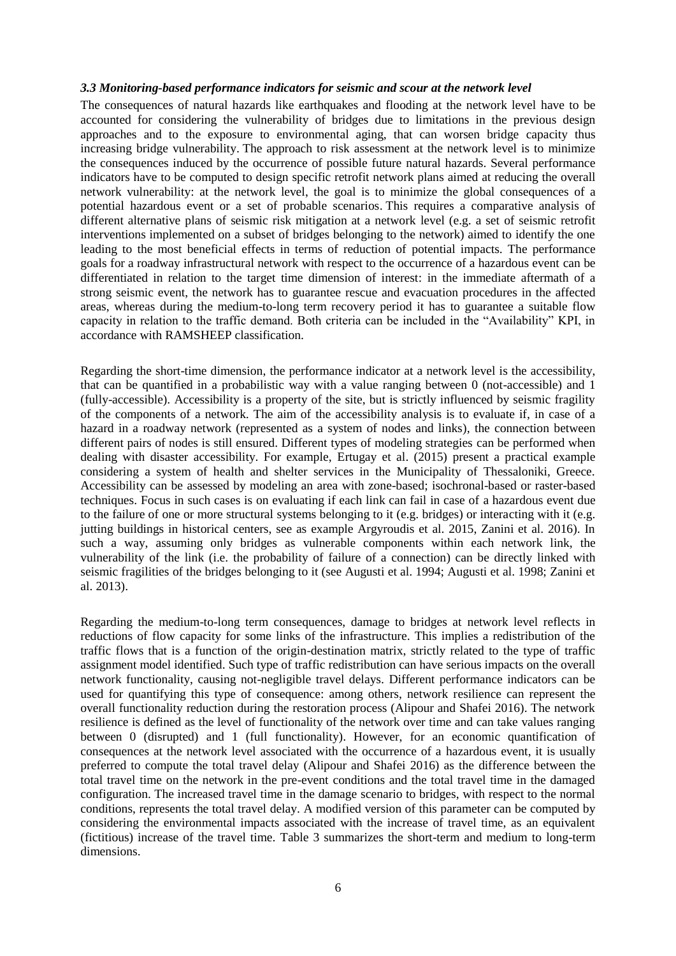### *3.3 Monitoring-based performance indicators for seismic and scour at the network level*

The consequences of natural hazards like earthquakes and flooding at the network level have to be accounted for considering the vulnerability of bridges due to limitations in the previous design approaches and to the exposure to environmental aging, that can worsen bridge capacity thus increasing bridge vulnerability. The approach to risk assessment at the network level is to minimize the consequences induced by the occurrence of possible future natural hazards. Several performance indicators have to be computed to design specific retrofit network plans aimed at reducing the overall network vulnerability: at the network level, the goal is to minimize the global consequences of a potential hazardous event or a set of probable scenarios. This requires a comparative analysis of different alternative plans of seismic risk mitigation at a network level (e.g. a set of seismic retrofit interventions implemented on a subset of bridges belonging to the network) aimed to identify the one leading to the most beneficial effects in terms of reduction of potential impacts. The performance goals for a roadway infrastructural network with respect to the occurrence of a hazardous event can be differentiated in relation to the target time dimension of interest: in the immediate aftermath of a strong seismic event, the network has to guarantee rescue and evacuation procedures in the affected areas, whereas during the medium-to-long term recovery period it has to guarantee a suitable flow capacity in relation to the traffic demand. Both criteria can be included in the "Availability" KPI, in accordance with RAMSHEEP classification.

Regarding the short-time dimension, the performance indicator at a network level is the accessibility, that can be quantified in a probabilistic way with a value ranging between 0 (not-accessible) and 1 (fully-accessible). Accessibility is a property of the site, but is strictly influenced by seismic fragility of the components of a network. The aim of the accessibility analysis is to evaluate if, in case of a hazard in a roadway network (represented as a system of nodes and links), the connection between different pairs of nodes is still ensured. Different types of modeling strategies can be performed when dealing with disaster accessibility. For example, Ertugay et al. (2015) present a practical example considering a system of health and shelter services in the Municipality of Thessaloniki, Greece. Accessibility can be assessed by modeling an area with zone-based; isochronal-based or raster-based techniques. Focus in such cases is on evaluating if each link can fail in case of a hazardous event due to the failure of one or more structural systems belonging to it (e.g. bridges) or interacting with it (e.g. jutting buildings in historical centers, see as example Argyroudis et al. 2015, Zanini et al. 2016). In such a way, assuming only bridges as vulnerable components within each network link, the vulnerability of the link (i.e. the probability of failure of a connection) can be directly linked with seismic fragilities of the bridges belonging to it (see Augusti et al. 1994; Augusti et al. 1998; Zanini et al. 2013).

Regarding the medium-to-long term consequences, damage to bridges at network level reflects in reductions of flow capacity for some links of the infrastructure. This implies a redistribution of the traffic flows that is a function of the origin-destination matrix, strictly related to the type of traffic assignment model identified. Such type of traffic redistribution can have serious impacts on the overall network functionality, causing not-negligible travel delays. Different performance indicators can be used for quantifying this type of consequence: among others, network resilience can represent the overall functionality reduction during the restoration process (Alipour and Shafei 2016). The network resilience is defined as the level of functionality of the network over time and can take values ranging between 0 (disrupted) and 1 (full functionality). However, for an economic quantification of consequences at the network level associated with the occurrence of a hazardous event, it is usually preferred to compute the total travel delay (Alipour and Shafei 2016) as the difference between the total travel time on the network in the pre-event conditions and the total travel time in the damaged configuration. The increased travel time in the damage scenario to bridges, with respect to the normal conditions, represents the total travel delay. A modified version of this parameter can be computed by considering the environmental impacts associated with the increase of travel time, as an equivalent (fictitious) increase of the travel time. Table 3 summarizes the short-term and medium to long-term dimensions.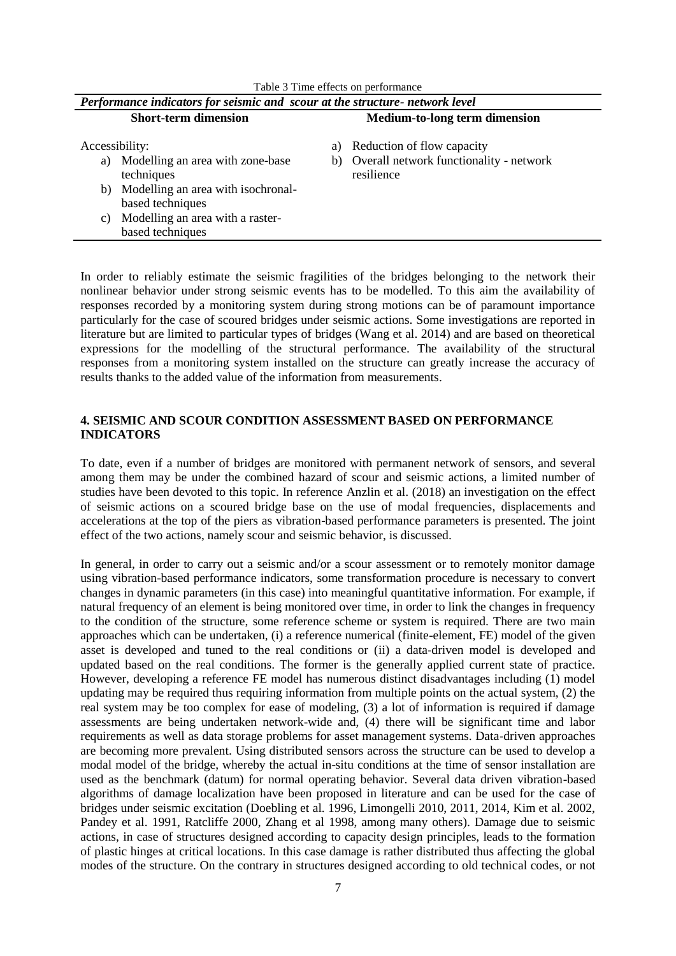| Table 3 Time effects on performance                                                                                                                                                                  |                                                                                              |  |  |
|------------------------------------------------------------------------------------------------------------------------------------------------------------------------------------------------------|----------------------------------------------------------------------------------------------|--|--|
| Performance indicators for seismic and scour at the structure- network level                                                                                                                         |                                                                                              |  |  |
| <b>Short-term dimension</b>                                                                                                                                                                          | <b>Medium-to-long term dimension</b>                                                         |  |  |
| Accessibility:<br>Modelling an area with zone-base<br>a)<br>techniques<br>Modelling an area with isochronal-<br>b)<br>based techniques<br>Modelling an area with a raster-<br>C)<br>based techniques | Reduction of flow capacity<br>a)<br>b) Overall network functionality - network<br>resilience |  |  |
|                                                                                                                                                                                                      |                                                                                              |  |  |

In order to reliably estimate the seismic fragilities of the bridges belonging to the network their nonlinear behavior under strong seismic events has to be modelled. To this aim the availability of responses recorded by a monitoring system during strong motions can be of paramount importance particularly for the case of scoured bridges under seismic actions. Some investigations are reported in literature but are limited to particular types of bridges (Wang et al. 2014) and are based on theoretical expressions for the modelling of the structural performance. The availability of the structural responses from a monitoring system installed on the structure can greatly increase the accuracy of results thanks to the added value of the information from measurements.

# **4. SEISMIC AND SCOUR CONDITION ASSESSMENT BASED ON PERFORMANCE INDICATORS**

To date, even if a number of bridges are monitored with permanent network of sensors, and several among them may be under the combined hazard of scour and seismic actions, a limited number of studies have been devoted to this topic. In reference Anzlin et al. (2018) an investigation on the effect of seismic actions on a scoured bridge base on the use of modal frequencies, displacements and accelerations at the top of the piers as vibration-based performance parameters is presented. The joint effect of the two actions, namely scour and seismic behavior, is discussed.

In general, in order to carry out a seismic and/or a scour assessment or to remotely monitor damage using vibration-based performance indicators, some transformation procedure is necessary to convert changes in dynamic parameters (in this case) into meaningful quantitative information. For example, if natural frequency of an element is being monitored over time, in order to link the changes in frequency to the condition of the structure, some reference scheme or system is required. There are two main approaches which can be undertaken, (i) a reference numerical (finite-element, FE) model of the given asset is developed and tuned to the real conditions or (ii) a data-driven model is developed and updated based on the real conditions. The former is the generally applied current state of practice. However, developing a reference FE model has numerous distinct disadvantages including (1) model updating may be required thus requiring information from multiple points on the actual system, (2) the real system may be too complex for ease of modeling, (3) a lot of information is required if damage assessments are being undertaken network-wide and, (4) there will be significant time and labor requirements as well as data storage problems for asset management systems. Data-driven approaches are becoming more prevalent. Using distributed sensors across the structure can be used to develop a modal model of the bridge, whereby the actual in-situ conditions at the time of sensor installation are used as the benchmark (datum) for normal operating behavior. Several data driven vibration-based algorithms of damage localization have been proposed in literature and can be used for the case of bridges under seismic excitation (Doebling et al. 1996, Limongelli 2010, 2011, 2014, Kim et al. 2002, Pandey et al. 1991, Ratcliffe 2000, Zhang et al 1998, among many others). Damage due to seismic actions, in case of structures designed according to capacity design principles, leads to the formation of plastic hinges at critical locations. In this case damage is rather distributed thus affecting the global modes of the structure. On the contrary in structures designed according to old technical codes, or not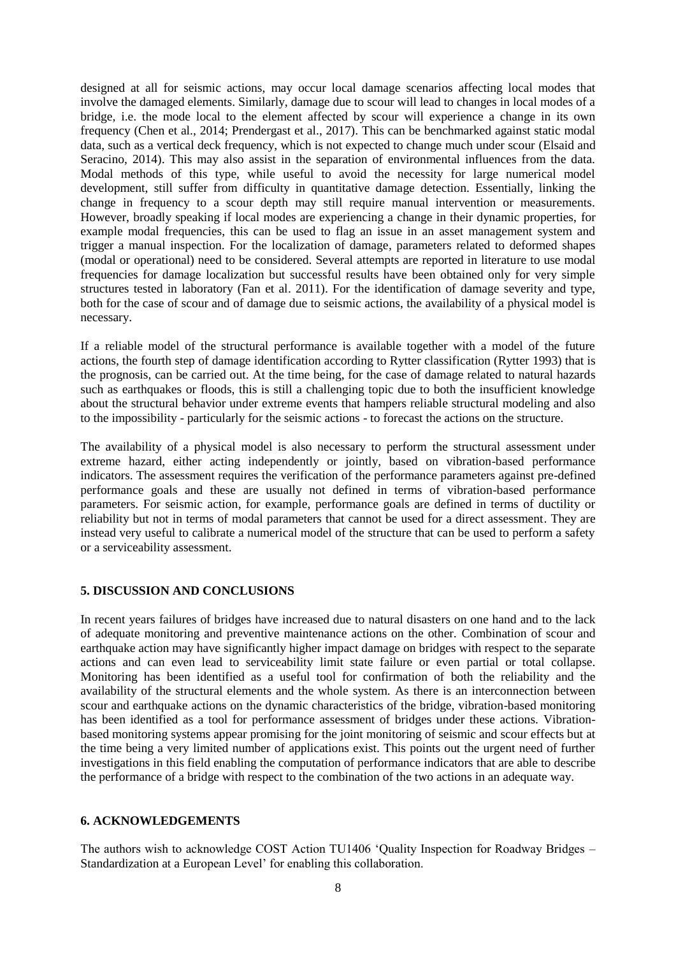designed at all for seismic actions, may occur local damage scenarios affecting local modes that involve the damaged elements. Similarly, damage due to scour will lead to changes in local modes of a bridge, i.e. the mode local to the element affected by scour will experience a change in its own frequency (Chen et al., 2014; Prendergast et al., 2017). This can be benchmarked against static modal data, such as a vertical deck frequency, which is not expected to change much under scour (Elsaid and Seracino, 2014). This may also assist in the separation of environmental influences from the data. Modal methods of this type, while useful to avoid the necessity for large numerical model development, still suffer from difficulty in quantitative damage detection. Essentially, linking the change in frequency to a scour depth may still require manual intervention or measurements. However, broadly speaking if local modes are experiencing a change in their dynamic properties, for example modal frequencies, this can be used to flag an issue in an asset management system and trigger a manual inspection. For the localization of damage, parameters related to deformed shapes (modal or operational) need to be considered. Several attempts are reported in literature to use modal frequencies for damage localization but successful results have been obtained only for very simple structures tested in laboratory (Fan et al. 2011). For the identification of damage severity and type, both for the case of scour and of damage due to seismic actions, the availability of a physical model is necessary.

If a reliable model of the structural performance is available together with a model of the future actions, the fourth step of damage identification according to Rytter classification (Rytter 1993) that is the prognosis, can be carried out. At the time being, for the case of damage related to natural hazards such as earthquakes or floods, this is still a challenging topic due to both the insufficient knowledge about the structural behavior under extreme events that hampers reliable structural modeling and also to the impossibility - particularly for the seismic actions - to forecast the actions on the structure.

The availability of a physical model is also necessary to perform the structural assessment under extreme hazard, either acting independently or jointly, based on vibration-based performance indicators. The assessment requires the verification of the performance parameters against pre-defined performance goals and these are usually not defined in terms of vibration-based performance parameters. For seismic action, for example, performance goals are defined in terms of ductility or reliability but not in terms of modal parameters that cannot be used for a direct assessment. They are instead very useful to calibrate a numerical model of the structure that can be used to perform a safety or a serviceability assessment.

## **5. DISCUSSION AND CONCLUSIONS**

In recent years failures of bridges have increased due to natural disasters on one hand and to the lack of adequate monitoring and preventive maintenance actions on the other. Combination of scour and earthquake action may have significantly higher impact damage on bridges with respect to the separate actions and can even lead to serviceability limit state failure or even partial or total collapse. Monitoring has been identified as a useful tool for confirmation of both the reliability and the availability of the structural elements and the whole system. As there is an interconnection between scour and earthquake actions on the dynamic characteristics of the bridge, vibration-based monitoring has been identified as a tool for performance assessment of bridges under these actions. Vibrationbased monitoring systems appear promising for the joint monitoring of seismic and scour effects but at the time being a very limited number of applications exist. This points out the urgent need of further investigations in this field enabling the computation of performance indicators that are able to describe the performance of a bridge with respect to the combination of the two actions in an adequate way.

# **6. ACKNOWLEDGEMENTS**

The authors wish to acknowledge COST Action TU1406 'Quality Inspection for Roadway Bridges – Standardization at a European Level' for enabling this collaboration.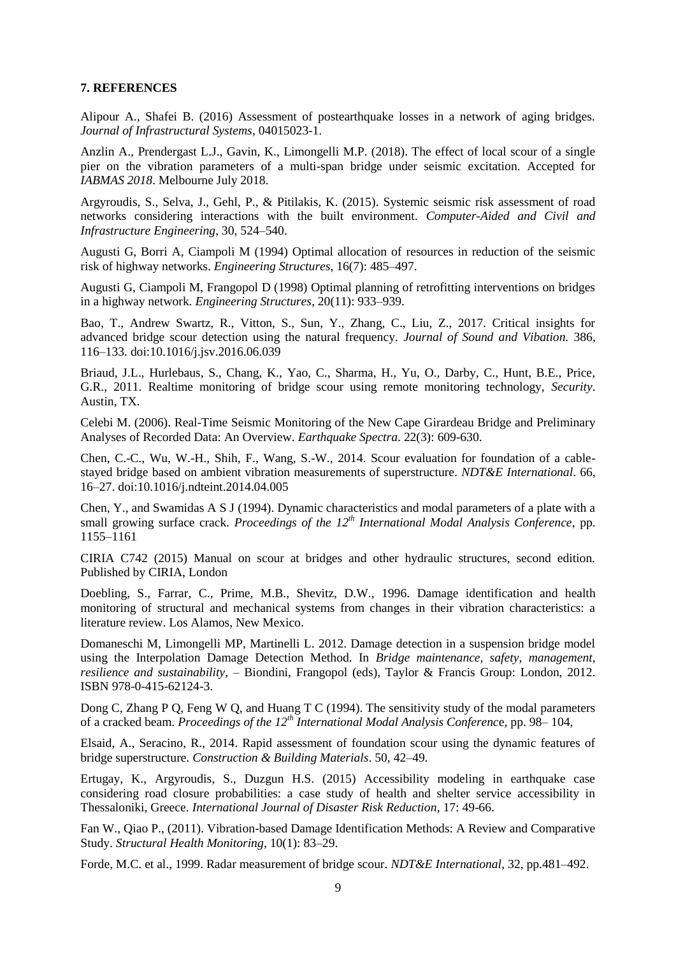### **7. REFERENCES**

Alipour A., Shafei B. (2016) Assessment of postearthquake losses in a network of aging bridges. *Journal of Infrastructural Systems*, 04015023-1.

Anzlin A., Prendergast L.J., Gavin, K., Limongelli M.P. (2018). The effect of local scour of a single pier on the vibration parameters of a multi-span bridge under seismic excitation. Accepted for *IABMAS 2018*. Melbourne July 2018.

Argyroudis, S., Selva, J., Gehl, P., & Pitilakis, K. (2015). Systemic seismic risk assessment of road networks considering interactions with the built environment. *Computer-Aided and Civil and Infrastructure Engineering*, 30, 524–540.

Augusti G, Borri A, Ciampoli M (1994) Optimal allocation of resources in reduction of the seismic risk of highway networks. *Engineering Structures*, 16(7): 485–497.

Augusti G, Ciampoli M, Frangopol D (1998) Optimal planning of retrofitting interventions on bridges in a highway network. *Engineering Structures*, 20(11): 933–939.

Bao, T., Andrew Swartz, R., Vitton, S., Sun, Y., Zhang, C., Liu, Z., 2017. Critical insights for advanced bridge scour detection using the natural frequency. *Journal of Sound and Vibation.* 386, 116–133. doi:10.1016/j.jsv.2016.06.039

Briaud, J.L., Hurlebaus, S., Chang, K., Yao, C., Sharma, H., Yu, O., Darby, C., Hunt, B.E., Price, G.R., 2011. Realtime monitoring of bridge scour using remote monitoring technology, *Security*. Austin, TX.

Celebi M. (2006). Real-Time Seismic Monitoring of the New Cape Girardeau Bridge and Preliminary Analyses of Recorded Data: An Overview. *Earthquake Spectra*. 22(3): 609-630.

Chen, C.-C., Wu, W.-H., Shih, F., Wang, S.-W., 2014. Scour evaluation for foundation of a cablestayed bridge based on ambient vibration measurements of superstructure. *NDT&E International*. 66, 16–27. doi:10.1016/j.ndteint.2014.04.005

Chen, Y., and Swamidas A S J (1994). Dynamic characteristics and modal parameters of a plate with a small growing surface crack. *Proceedings of the 12<sup>th</sup> International Modal Analysis Conference*, pp. 1155–1161

CIRIA C742 (2015) Manual on scour at bridges and other hydraulic structures, second edition. Published by CIRIA, London

Doebling, S., Farrar, C., Prime, M.B., Shevitz, D.W., 1996. Damage identification and health monitoring of structural and mechanical systems from changes in their vibration characteristics: a literature review. Los Alamos, New Mexico.

Domaneschi M, Limongelli MP, Martinelli L. 2012. Damage detection in a suspension bridge model using the Interpolation Damage Detection Method. In *Bridge maintenance, safety, management, resilience and sustainability*, – Biondini, Frangopol (eds), Taylor & Francis Group: London, 2012. ISBN 978-0-415-62124-3.

Dong C, Zhang P Q, Feng W Q, and Huang T C (1994). The sensitivity study of the modal parameters of a cracked beam. *Proceedings of the 12th International Modal Analysis Conferenc*e, pp. 98– 104,

Elsaid, A., Seracino, R., 2014. Rapid assessment of foundation scour using the dynamic features of bridge superstructure. *Construction & Building Materials*. 50, 42–49.

Ertugay, K., Argyroudis, S., Duzgun H.S. (2015) Accessibility modeling in earthquake case considering road closure probabilities: a case study of health and shelter service accessibility in Thessaloniki, Greece. *International Journal of Disaster Risk Reduction*, 17: 49-66.

Fan W., Qiao P., (2011). Vibration-based Damage Identification Methods: A Review and Comparative Study. *Structural Health Monitoring*, 10(1): 83–29.

Forde, M.C. et al., 1999. Radar measurement of bridge scour. *NDT&E International*, 32, pp.481–492.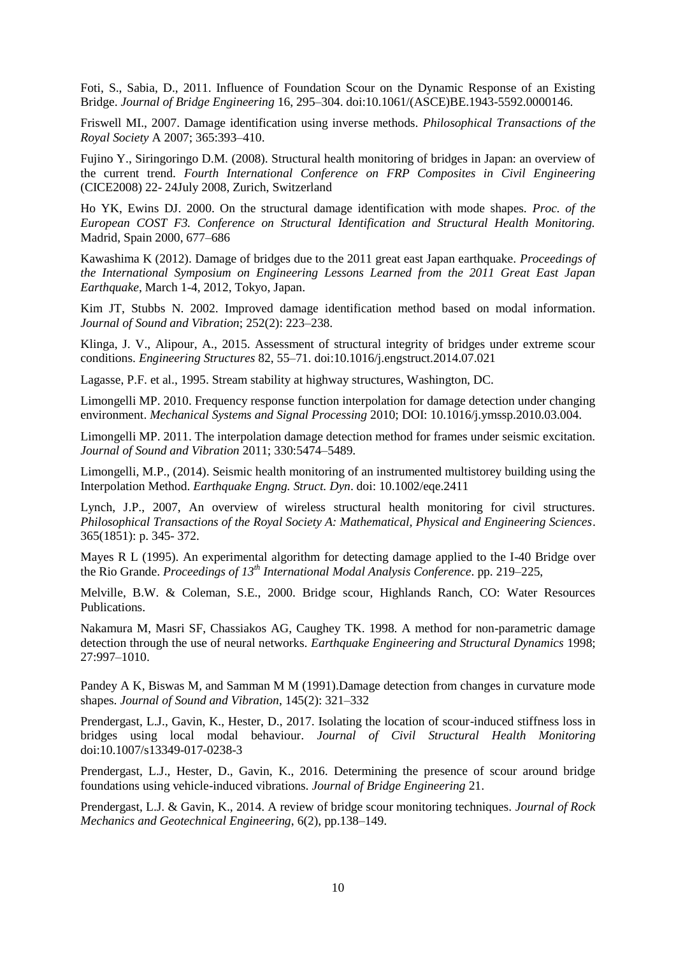Foti, S., Sabia, D., 2011. Influence of Foundation Scour on the Dynamic Response of an Existing Bridge. *Journal of Bridge Engineering* 16, 295–304. doi:10.1061/(ASCE)BE.1943-5592.0000146.

Friswell MI., 2007. Damage identification using inverse methods. *Philosophical Transactions of the Royal Society* A 2007; 365:393–410.

Fujino Y., Siringoringo D.M. (2008). Structural health monitoring of bridges in Japan: an overview of the current trend. *Fourth International Conference on FRP Composites in Civil Engineering*  (CICE2008) 22- 24July 2008, Zurich, Switzerland

Ho YK, Ewins DJ. 2000. On the structural damage identification with mode shapes. *Proc. of the European COST F3. Conference on Structural Identification and Structural Health Monitoring.*  Madrid, Spain 2000, 677–686

Kawashima K (2012). Damage of bridges due to the 2011 great east Japan earthquake. *Proceedings of the International Symposium on Engineering Lessons Learned from the 2011 Great East Japan Earthquake*, March 1-4, 2012, Tokyo, Japan.

Kim JT, Stubbs N. 2002. Improved damage identification method based on modal information. *Journal of Sound and Vibration*; 252(2): 223–238.

Klinga, J. V., Alipour, A., 2015. Assessment of structural integrity of bridges under extreme scour conditions. *Engineering Structures* 82, 55–71. doi:10.1016/j.engstruct.2014.07.021

Lagasse, P.F. et al., 1995. Stream stability at highway structures, Washington, DC.

Limongelli MP. 2010. Frequency response function interpolation for damage detection under changing environment. *Mechanical Systems and Signal Processing* 2010; DOI: 10.1016/j.ymssp.2010.03.004.

Limongelli MP. 2011. The interpolation damage detection method for frames under seismic excitation. *Journal of Sound and Vibration* 2011; 330:5474–5489.

Limongelli, M.P., (2014). Seismic health monitoring of an instrumented multistorey building using the Interpolation Method. *Earthquake Engng. Struct. Dyn*. doi: 10.1002/eqe.2411

Lynch, J.P., 2007, An overview of wireless structural health monitoring for civil structures. *Philosophical Transactions of the Royal Society A: Mathematical, Physical and Engineering Sciences*. 365(1851): p. 345- 372.

Mayes R L (1995). An experimental algorithm for detecting damage applied to the I-40 Bridge over the Rio Grande. *Proceedings of 13th International Modal Analysis Conference*. pp. 219–225,

Melville, B.W. & Coleman, S.E., 2000. Bridge scour, Highlands Ranch, CO: Water Resources Publications.

Nakamura M, Masri SF, Chassiakos AG, Caughey TK. 1998. A method for non-parametric damage detection through the use of neural networks. *Earthquake Engineering and Structural Dynamics* 1998; 27:997–1010.

Pandey A K, Biswas M, and Samman M M (1991).Damage detection from changes in curvature mode shapes. *Journal of Sound and Vibration*, 145(2): 321–332

Prendergast, L.J., Gavin, K., Hester, D., 2017. Isolating the location of scour-induced stiffness loss in bridges using local modal behaviour. *Journal of Civil Structural Health Monitoring* doi:10.1007/s13349-017-0238-3

Prendergast, L.J., Hester, D., Gavin, K., 2016. Determining the presence of scour around bridge foundations using vehicle-induced vibrations. *Journal of Bridge Engineering* 21.

Prendergast, L.J. & Gavin, K., 2014. A review of bridge scour monitoring techniques. *Journal of Rock Mechanics and Geotechnical Engineering*, 6(2), pp.138–149.